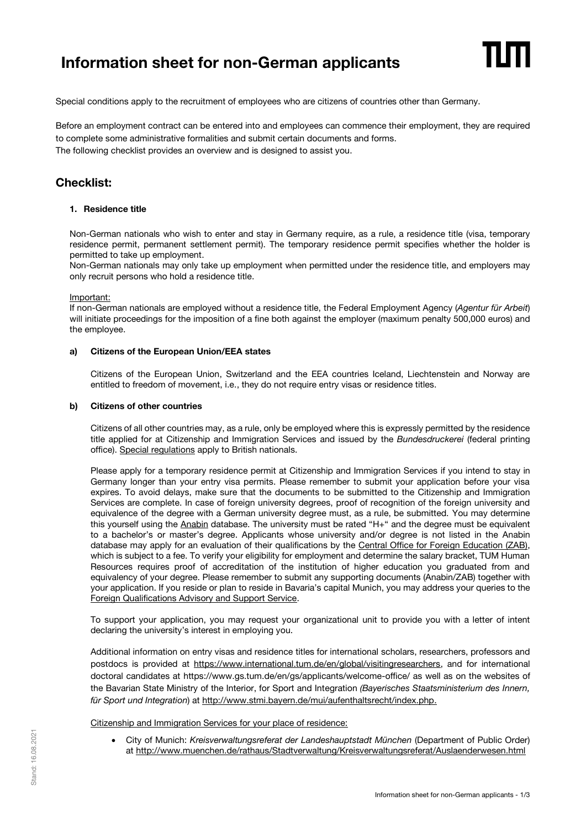# **Information sheet for non-German applicants**

Special conditions apply to the recruitment of employees who are citizens of countries other than Germany.

Before an employment contract can be entered into and employees can commence their employment, they are required to complete some administrative formalities and submit certain documents and forms. The following checklist provides an overview and is designed to assist you.

# **Checklist:**

# **1. Residence title**

Non-German nationals who wish to enter and stay in Germany require, as a rule, a residence title (visa, temporary residence permit, permanent settlement permit). The temporary residence permit specifies whether the holder is permitted to take up employment.

Non-German nationals may only take up employment when permitted under the residence title, and employers may only recruit persons who hold a residence title.

## Important:

If non-German nationals are employed without a residence title, the Federal Employment Agency (*Agentur für Arbeit*) will initiate proceedings for the imposition of a fine both against the employer (maximum penalty 500,000 euros) and the employee.

## **a) Citizens of the European Union/EEA states**

Citizens of the European Union, Switzerland and the EEA countries Iceland, Liechtenstein and Norway are entitled to freedom of movement, i.e., they do not require entry visas or residence titles.

# **b) Citizens of other countries**

Citizens of all other countries may, as a rule, only be employed where this is expressly permitted by the residence title applied for at Citizenship and Immigration Services and issued by the *Bundesdruckerei* (federal printing office). [Special regulations](https://www.bmi.bund.de/SharedDocs/faqs/EN/topics/constitution/brexit/faqs-brexit.html;jsessionid=4AED07DB209E2DEEBA1F3ACD33AA69D4.1_cid287) apply to British nationals.

Please apply for a temporary residence permit at Citizenship and Immigration Services if you intend to stay in Germany longer than your entry visa permits. Please remember to submit your application before your visa expires. To avoid delays, make sure that the documents to be submitted to the Citizenship and Immigration Services are complete. In case of foreign university degrees, proof of recognition of the foreign university and equivalence of the degree with a German university degree must, as a rule, be submitted. You may determine this yourself using the [Anabin](https://anabin.kmk.org/anabin.html) database. The university must be rated "H+" and the degree must be equivalent to a bachelor's or master's degree. Applicants whose university and/or degree is not listed in the Anabin database may apply for an evaluation of their qualifications by the [Central Office for Foreign Education \(ZAB\),](https://www.kmk.org/zab/zentralstelle-fuer-auslaendisches-bildungswesen/zeugnisbewertung.html) which is subject to a fee. To verify your eligibility for employment and determine the salary bracket, TUM Human Resources requires proof of accreditation of the institution of higher education you graduated from and equivalency of your degree. Please remember to submit any supporting documents (Anabin/ZAB) together with your application. If you reside or plan to reside in Bavaria's capital Munich, you may address your queries to the [Foreign Qualifications Advisory and Support Service.](https://www.muenchen.de/rathaus/Stadtverwaltung/Sozialreferat/Wohnungsamt/Service-auslaendischer-Qualifikation/Anerkennungsberatung.html)

To support your application, you may request your organizational unit to provide you with a letter of intent declaring the university's interest in employing you.

Additional information on entry visas and residence titles for international scholars, researchers, professors and postdocs is provided at [https://www.international.tum.de/en/global/visitingresearchers,](https://www.international.tum.de/en/global/visitingresearchers) and for international doctoral candidates at https://www.gs.tum.de/en/gs/applicants/welcome-office/ as well as on the websites of the Bavarian State Ministry of the Interior, for Sport and Integration *(Bayerisches Staatsministerium des Innern, für Sport und Integration*) a[t http://www.stmi.bayern.de/mui/aufenthaltsrecht/index.php.](http://www.stmi.bayern.de/mui/aufenthaltsrecht/index.php)

Citizenship and Immigration Services for your place of residence:

 City of Munich: *Kreisverwaltungsreferat der Landeshauptstadt München* (Department of Public Order) at<http://www.muenchen.de/rathaus/Stadtverwaltung/Kreisverwaltungsreferat/Auslaenderwesen.html>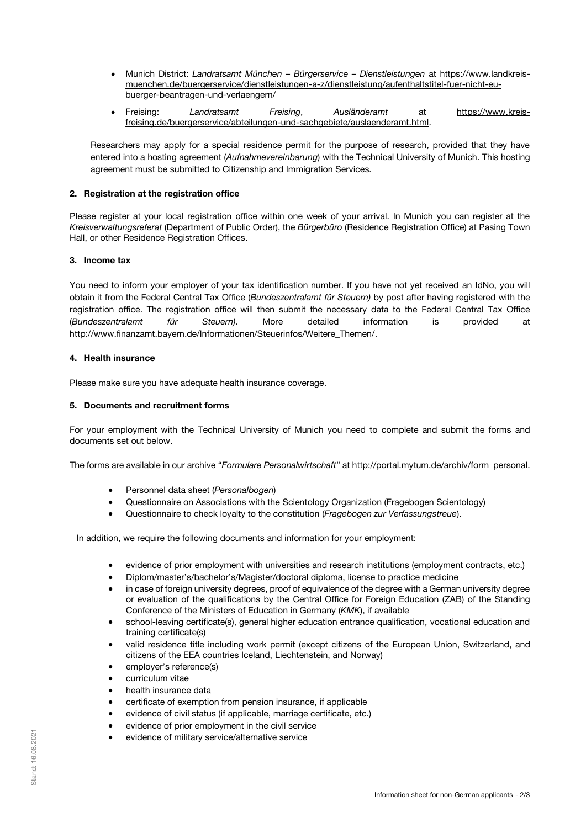- Munich District: *Landratsamt München – Bürgerservice – Dienstleistungen* at [https://www.landkreis](https://www.landkreis-muenchen.de/buergerservice/dienstleistungen-a-z/dienstleistung/aufenthaltstitel-fuer-nicht-eu-buerger-beantragen-und-verlaengern/)[muenchen.de/buergerservice/dienstleistungen-a-z/dienstleistung/aufenthaltstitel-fuer-nicht-eu](https://www.landkreis-muenchen.de/buergerservice/dienstleistungen-a-z/dienstleistung/aufenthaltstitel-fuer-nicht-eu-buerger-beantragen-und-verlaengern/)[buerger-beantragen-und-verlaengern/](https://www.landkreis-muenchen.de/buergerservice/dienstleistungen-a-z/dienstleistung/aufenthaltstitel-fuer-nicht-eu-buerger-beantragen-und-verlaengern/)
- Freising: *Landratsamt Freising*, *Ausländeramt* at [https://www.kreis](https://www.kreis-freising.de/buergerservice/abteilungen-und-sachgebiete/auslaenderamt.html)[freising.de/buergerservice/abteilungen-und-sachgebiete/auslaenderamt.html.](https://www.kreis-freising.de/buergerservice/abteilungen-und-sachgebiete/auslaenderamt.html)

Researchers may apply for a special residence permit for the purpose of research, provided that they have entered into a hosting agreement (*[Aufnahmevereinbarung](http://portal.mytum.de/archiv/form_personal/archive_folder.2009-04-15.0467868241)*) with the Technical University of Munich. This hosting agreement must be submitted to Citizenship and Immigration Services.

# **2. Registration at the registration office**

Please register at your local registration office within one week of your arrival. In Munich you can register at the *Kreisverwaltungsreferat* (Department of Public Order), the *Bürgerbüro* (Residence Registration Office) at Pasing Town Hall, or other Residence Registration Offices.

# **3. Income tax**

You need to inform your employer of your tax identification number. If you have not yet received an IdNo, you will obtain it from the Federal Central Tax Office (*Bundeszentralamt für Steuern)* by post after having registered with the registration office. The registration office will then submit the necessary data to the Federal Central Tax Office (*Bundeszentralamt für Steuern)*. More detailed information is provided at [http://www.finanzamt.bayern.de/Informationen/Steuerinfos/Weitere\\_Themen/.](http://www.finanzamt.bayern.de/Informationen/Steuerinfos/Weitere_Themen/)

## **4. Health insurance**

Please make sure you have adequate health insurance coverage.

# **5. Documents and recruitment forms**

For your employment with the Technical University of Munich you need to complete and submit the forms and documents set out below.

The forms are available in our archive "*Formulare Personalwirtschaft*" at [http://portal.mytum.de/archiv/form\\_personal.](http://portal.mytum.de/archiv/form_personal)

- Personnel data sheet (*Personalbogen*)
- Questionnaire on Associations with the Scientology Organization (Fragebogen Scientology)
- Questionnaire to check loyalty to the constitution (*Fragebogen zur Verfassungstreue*).

In addition, we require the following documents and information for your employment:

- evidence of prior employment with universities and research institutions (employment contracts, etc.)
- Diplom/master's/bachelor's/Magister/doctoral diploma, license to practice medicine
- in case of foreign university degrees, proof of equivalence of the degree with a German university degree or evaluation of the qualifications by the Central Office for Foreign Education (ZAB) of the Standing Conference of the Ministers of Education in Germany (*KMK*), if available
- school-leaving certificate(s), general higher education entrance qualification, vocational education and training certificate(s)
- valid residence title including work permit (except citizens of the European Union, Switzerland, and citizens of the EEA countries Iceland, Liechtenstein, and Norway)
- employer's reference(s)
- curriculum vitae
- health insurance data
- certificate of exemption from pension insurance, if applicable
- evidence of civil status (if applicable, marriage certificate, etc.)
- evidence of prior employment in the civil service
- evidence of military service/alternative service